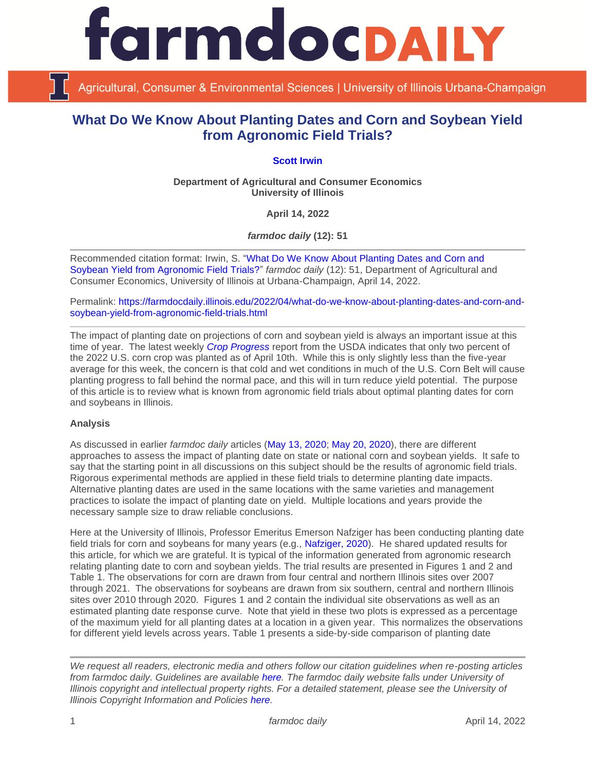**rmdocpail** 

Agricultural, Consumer & Environmental Sciences | University of Illinois Urbana-Champaign

# **What Do We Know About Planting Dates and Corn and Soybean Yield from Agronomic Field Trials?**

## **[Scott Irwin](https://scotthirwin.com/)**

**Department of Agricultural and Consumer Economics University of Illinois**

**April 14, 2022**

*farmdoc daily* **(12): 51**

Recommended citation format: Irwin, S. ["What Do We Know About Planting Dates and Corn and](https://farmdocdaily.illinois.edu/2022/04/what-do-we-know-about-planting-dates-and-corn-and-soybean-yield-from-agronomic-field-trials.html)  [Soybean Yield from Agronomic Field Trials?"](https://farmdocdaily.illinois.edu/2022/04/what-do-we-know-about-planting-dates-and-corn-and-soybean-yield-from-agronomic-field-trials.html) *farmdoc daily* (12): 51, Department of Agricultural and Consumer Economics, University of Illinois at Urbana-Champaign, April 14, 2022.

Permalink: [https://farmdocdaily.illinois.edu/2022/04/what-do-we-know-about-planting-dates-and-corn-and](https://farmdocdaily.illinois.edu/2022/04/what-do-we-know-about-planting-dates-and-corn-and-soybean-yield-from-agronomic-field-trials.html)[soybean-yield-from-agronomic-field-trials.html](https://farmdocdaily.illinois.edu/2022/04/what-do-we-know-about-planting-dates-and-corn-and-soybean-yield-from-agronomic-field-trials.html)

The impact of planting date on projections of corn and soybean yield is always an important issue at this time of year. The latest weekly *[Crop Progress](https://downloads.usda.library.cornell.edu/usda-esmis/files/8336h188j/hh63tz774/8910kz40p/prog1622.pdf)* report from the USDA indicates that only two percent of the 2022 U.S. corn crop was planted as of April 10th. While this is only slightly less than the five-year average for this week, the concern is that cold and wet conditions in much of the U.S. Corn Belt will cause planting progress to fall behind the normal pace, and this will in turn reduce yield potential. The purpose of this article is to review what is known from agronomic field trials about optimal planting dates for corn and soybeans in Illinois.

## **Analysis**

As discussed in earlier *farmdoc daily* articles [\(May 13, 2020;](https://farmdocdaily.illinois.edu/2020/05/the-impact-of-late-planting-on-u-s-average-corn-yield.html) [May 20, 2020\)](https://farmdocdaily.illinois.edu/2020/05/the-impact-of-late-planting-on-u-s-average-soybean-yield.html), there are different approaches to assess the impact of planting date on state or national corn and soybean yields. It safe to say that the starting point in all discussions on this subject should be the results of agronomic field trials. Rigorous experimental methods are applied in these field trials to determine planting date impacts. Alternative planting dates are used in the same locations with the same varieties and management practices to isolate the impact of planting date on yield. Multiple locations and years provide the necessary sample size to draw reliable conclusions.

Here at the University of Illinois, Professor Emeritus Emerson Nafziger has been conducting planting date field trials for corn and soybeans for many years (e.g., [Nafziger, 2020\)](https://farmdoc.illinois.edu/field-crop-production/uncategorized/planting-corn-and-soybeans-in-2020.html). He shared updated results for this article, for which we are grateful. It is typical of the information generated from agronomic research relating planting date to corn and soybean yields. The trial results are presented in Figures 1 and 2 and Table 1. The observations for corn are drawn from four central and northern Illinois sites over 2007 through 2021. The observations for soybeans are drawn from six southern, central and northern Illinois sites over 2010 through 2020. Figures 1 and 2 contain the individual site observations as well as an estimated planting date response curve. Note that yield in these two plots is expressed as a percentage of the maximum yield for all planting dates at a location in a given year. This normalizes the observations for different yield levels across years. Table 1 presents a side-by-side comparison of planting date

*We request all readers, electronic media and others follow our citation guidelines when re-posting articles from farmdoc daily. Guidelines are available [here.](http://farmdocdaily.illinois.edu/citationguide.html) The farmdoc daily website falls under University of Illinois copyright and intellectual property rights. For a detailed statement, please see the University of Illinois Copyright Information and Policies [here.](http://www.cio.illinois.edu/policies/copyright/)*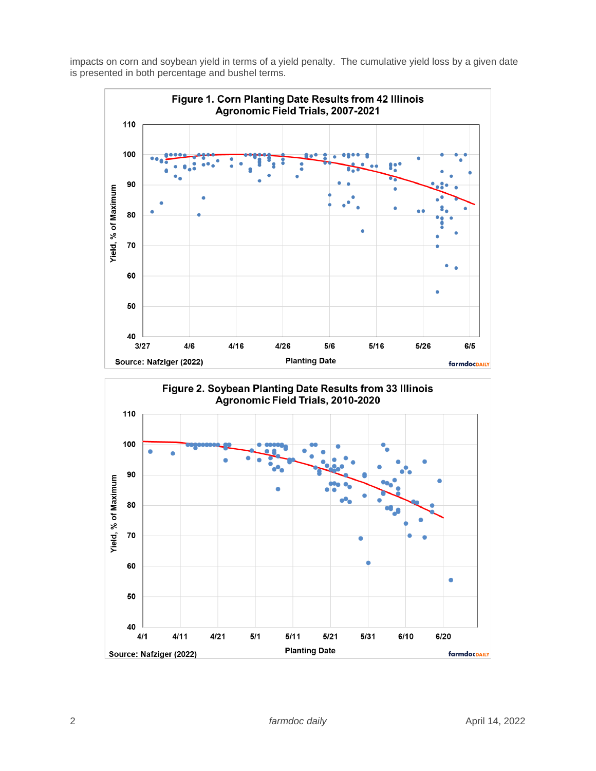impacts on corn and soybean yield in terms of a yield penalty. The cumulative yield loss by a given date is presented in both percentage and bushel terms.

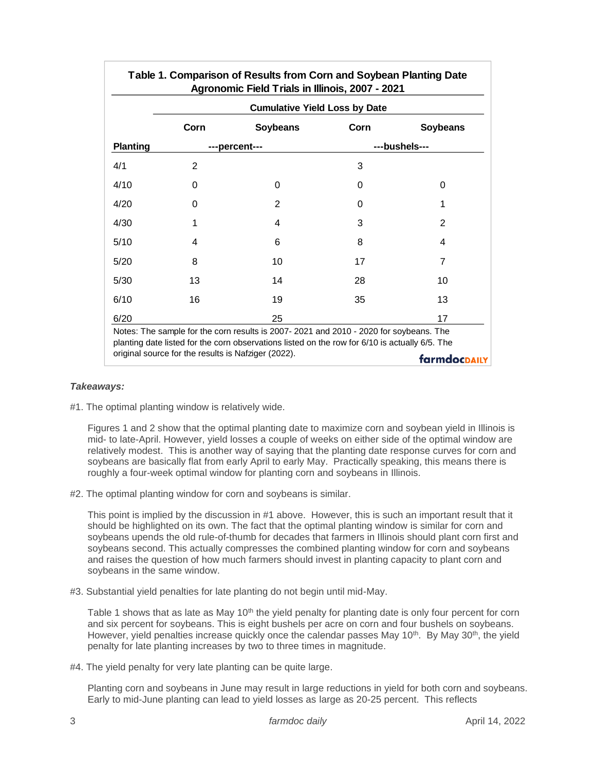|                 | <b>Cumulative Yield Loss by Date</b> |                 |               |                 |
|-----------------|--------------------------------------|-----------------|---------------|-----------------|
|                 | Corn                                 | <b>Soybeans</b> | Corn          | <b>Soybeans</b> |
| <b>Planting</b> | ---percent---                        |                 | ---bushels--- |                 |
| 4/1             | $\overline{2}$                       |                 | 3             |                 |
| 4/10            | 0                                    | $\Omega$        | 0             | 0               |
| 4/20            | 0                                    | $\mathbf{2}$    | 0             | 1               |
| 4/30            | 1                                    | 4               | 3             | 2               |
| 5/10            | 4                                    | 6               | 8             | 4               |
| 5/20            | 8                                    | 10              | 17            | 7               |
| 5/30            | 13                                   | 14              | 28            | 10              |
| 6/10            | 16                                   | 19              | 35            | 13              |
| 6/20            |                                      | 25              |               | 17              |

#### *Takeaways:*

#1. The optimal planting window is relatively wide.

Figures 1 and 2 show that the optimal planting date to maximize corn and soybean yield in Illinois is mid- to late-April. However, yield losses a couple of weeks on either side of the optimal window are relatively modest. This is another way of saying that the planting date response curves for corn and soybeans are basically flat from early April to early May. Practically speaking, this means there is roughly a four-week optimal window for planting corn and soybeans in Illinois.

#2. The optimal planting window for corn and soybeans is similar.

This point is implied by the discussion in #1 above. However, this is such an important result that it should be highlighted on its own. The fact that the optimal planting window is similar for corn and soybeans upends the old rule-of-thumb for decades that farmers in Illinois should plant corn first and soybeans second. This actually compresses the combined planting window for corn and soybeans and raises the question of how much farmers should invest in planting capacity to plant corn and soybeans in the same window.

#3. Substantial yield penalties for late planting do not begin until mid-May.

Table 1 shows that as late as May  $10<sup>th</sup>$  the yield penalty for planting date is only four percent for corn and six percent for soybeans. This is eight bushels per acre on corn and four bushels on soybeans. However, yield penalties increase quickly once the calendar passes May 10<sup>th</sup>. By May 30<sup>th</sup>, the yield penalty for late planting increases by two to three times in magnitude.

#4. The yield penalty for very late planting can be quite large.

Planting corn and soybeans in June may result in large reductions in yield for both corn and soybeans. Early to mid-June planting can lead to yield losses as large as 20-25 percent. This reflects